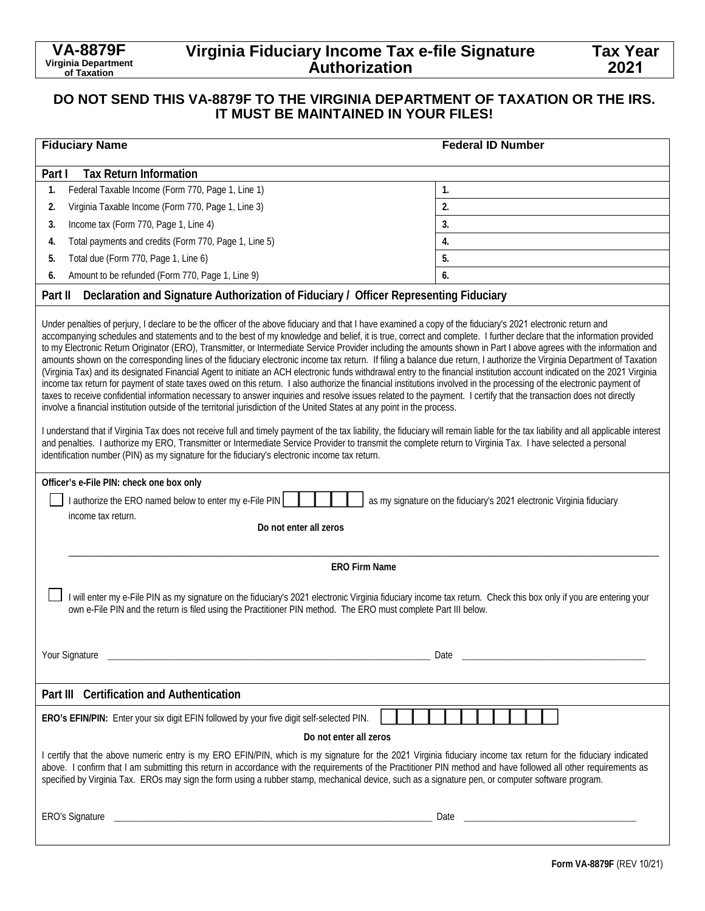# **Virginia Fiduciary Income Tax e-file Signature Authorization**

| <b>Fiduciary Name</b>                                                                                                                                                                                                                                                                                                                                                                                                                                                                                                                                                                                                                                                                                                                                                                                                                                                                                                                                                                                                                                                                                                                                                                                                                                                                                                                                                                                                                                                                                                                                                                                                                                                                                                                                                                                   | <b>Federal ID Number</b> |  |
|---------------------------------------------------------------------------------------------------------------------------------------------------------------------------------------------------------------------------------------------------------------------------------------------------------------------------------------------------------------------------------------------------------------------------------------------------------------------------------------------------------------------------------------------------------------------------------------------------------------------------------------------------------------------------------------------------------------------------------------------------------------------------------------------------------------------------------------------------------------------------------------------------------------------------------------------------------------------------------------------------------------------------------------------------------------------------------------------------------------------------------------------------------------------------------------------------------------------------------------------------------------------------------------------------------------------------------------------------------------------------------------------------------------------------------------------------------------------------------------------------------------------------------------------------------------------------------------------------------------------------------------------------------------------------------------------------------------------------------------------------------------------------------------------------------|--------------------------|--|
| <b>Tax Return Information</b><br>Part I                                                                                                                                                                                                                                                                                                                                                                                                                                                                                                                                                                                                                                                                                                                                                                                                                                                                                                                                                                                                                                                                                                                                                                                                                                                                                                                                                                                                                                                                                                                                                                                                                                                                                                                                                                 |                          |  |
| Federal Taxable Income (Form 770, Page 1, Line 1)<br>1.                                                                                                                                                                                                                                                                                                                                                                                                                                                                                                                                                                                                                                                                                                                                                                                                                                                                                                                                                                                                                                                                                                                                                                                                                                                                                                                                                                                                                                                                                                                                                                                                                                                                                                                                                 | 1.                       |  |
| Virginia Taxable Income (Form 770, Page 1, Line 3)<br>2.                                                                                                                                                                                                                                                                                                                                                                                                                                                                                                                                                                                                                                                                                                                                                                                                                                                                                                                                                                                                                                                                                                                                                                                                                                                                                                                                                                                                                                                                                                                                                                                                                                                                                                                                                | 2.                       |  |
| Income tax (Form 770, Page 1, Line 4)<br>3.                                                                                                                                                                                                                                                                                                                                                                                                                                                                                                                                                                                                                                                                                                                                                                                                                                                                                                                                                                                                                                                                                                                                                                                                                                                                                                                                                                                                                                                                                                                                                                                                                                                                                                                                                             | 3.                       |  |
| Total payments and credits (Form 770, Page 1, Line 5)<br>4.                                                                                                                                                                                                                                                                                                                                                                                                                                                                                                                                                                                                                                                                                                                                                                                                                                                                                                                                                                                                                                                                                                                                                                                                                                                                                                                                                                                                                                                                                                                                                                                                                                                                                                                                             | 4.                       |  |
| Total due (Form 770, Page 1, Line 6)<br>5.                                                                                                                                                                                                                                                                                                                                                                                                                                                                                                                                                                                                                                                                                                                                                                                                                                                                                                                                                                                                                                                                                                                                                                                                                                                                                                                                                                                                                                                                                                                                                                                                                                                                                                                                                              | 5.                       |  |
| Amount to be refunded (Form 770, Page 1, Line 9)<br>6.                                                                                                                                                                                                                                                                                                                                                                                                                                                                                                                                                                                                                                                                                                                                                                                                                                                                                                                                                                                                                                                                                                                                                                                                                                                                                                                                                                                                                                                                                                                                                                                                                                                                                                                                                  | 6.                       |  |
| Declaration and Signature Authorization of Fiduciary / Officer Representing Fiduciary<br>Part II                                                                                                                                                                                                                                                                                                                                                                                                                                                                                                                                                                                                                                                                                                                                                                                                                                                                                                                                                                                                                                                                                                                                                                                                                                                                                                                                                                                                                                                                                                                                                                                                                                                                                                        |                          |  |
| Under penalties of perjury, I declare to be the officer of the above fiduciary and that I have examined a copy of the fiduciary's 2021 electronic return and<br>accompanying schedules and statements and to the best of my knowledge and belief, it is true, correct and complete. I further declare that the information provided<br>to my Electronic Return Originator (ERO), Transmitter, or Intermediate Service Provider including the amounts shown in Part I above agrees with the information and<br>amounts shown on the corresponding lines of the fiduciary electronic income tax return. If filing a balance due return, I authorize the Virginia Department of Taxation<br>(Virginia Tax) and its designated Financial Agent to initiate an ACH electronic funds withdrawal entry to the financial institution account indicated on the 2021 Virginia<br>income tax return for payment of state taxes owed on this return. I also authorize the financial institutions involved in the processing of the electronic payment of<br>taxes to receive confidential information necessary to answer inquiries and resolve issues related to the payment. I certify that the transaction does not directly<br>involve a financial institution outside of the territorial jurisdiction of the United States at any point in the process.<br>I understand that if Virginia Tax does not receive full and timely payment of the tax liability, the fiduciary will remain liable for the tax liability and all applicable interest<br>and penalties. I authorize my ERO, Transmitter or Intermediate Service Provider to transmit the complete return to Virginia Tax. I have selected a personal<br>identification number (PIN) as my signature for the fiduciary's electronic income tax return. |                          |  |
| Officer's e-File PIN: check one box only<br>I authorize the ERO named below to enter my e-File PIN<br>as my signature on the fiduciary's 2021 electronic Virginia fiduciary<br>income tax return.<br>Do not enter all zeros                                                                                                                                                                                                                                                                                                                                                                                                                                                                                                                                                                                                                                                                                                                                                                                                                                                                                                                                                                                                                                                                                                                                                                                                                                                                                                                                                                                                                                                                                                                                                                             |                          |  |
| <b>ERO Firm Name</b>                                                                                                                                                                                                                                                                                                                                                                                                                                                                                                                                                                                                                                                                                                                                                                                                                                                                                                                                                                                                                                                                                                                                                                                                                                                                                                                                                                                                                                                                                                                                                                                                                                                                                                                                                                                    |                          |  |
| I will enter my e-File PIN as my signature on the fiduciary's 2021 electronic Virginia fiduciary income tax return. Check this box only if you are entering your<br>own e-File PIN and the return is filed using the Practitioner PIN method. The ERO must complete Part III below.<br>Your Signature<br>Date<br>the contract of the contract of the contract of the contract of the contract of                                                                                                                                                                                                                                                                                                                                                                                                                                                                                                                                                                                                                                                                                                                                                                                                                                                                                                                                                                                                                                                                                                                                                                                                                                                                                                                                                                                                        |                          |  |
|                                                                                                                                                                                                                                                                                                                                                                                                                                                                                                                                                                                                                                                                                                                                                                                                                                                                                                                                                                                                                                                                                                                                                                                                                                                                                                                                                                                                                                                                                                                                                                                                                                                                                                                                                                                                         |                          |  |
| Part III Certification and Authentication                                                                                                                                                                                                                                                                                                                                                                                                                                                                                                                                                                                                                                                                                                                                                                                                                                                                                                                                                                                                                                                                                                                                                                                                                                                                                                                                                                                                                                                                                                                                                                                                                                                                                                                                                               |                          |  |
| ERO's EFIN/PIN: Enter your six digit EFIN followed by your five digit self-selected PIN.                                                                                                                                                                                                                                                                                                                                                                                                                                                                                                                                                                                                                                                                                                                                                                                                                                                                                                                                                                                                                                                                                                                                                                                                                                                                                                                                                                                                                                                                                                                                                                                                                                                                                                                |                          |  |
| Do not enter all zeros<br>I certify that the above numeric entry is my ERO EFIN/PIN, which is my signature for the 2021 Virginia fiduciary income tax return for the fiduciary indicated<br>above. I confirm that I am submitting this return in accordance with the requirements of the Practitioner PIN method and have followed all other requirements as<br>specified by Virginia Tax. EROs may sign the form using a rubber stamp, mechanical device, such as a signature pen, or computer software program.                                                                                                                                                                                                                                                                                                                                                                                                                                                                                                                                                                                                                                                                                                                                                                                                                                                                                                                                                                                                                                                                                                                                                                                                                                                                                       |                          |  |
| Date and the contract of the contract of the contract of the contract of the contract of the contract of the contract of the contract of the contract of the contract of the contract of the contract of the contract of the c                                                                                                                                                                                                                                                                                                                                                                                                                                                                                                                                                                                                                                                                                                                                                                                                                                                                                                                                                                                                                                                                                                                                                                                                                                                                                                                                                                                                                                                                                                                                                                          |                          |  |

**Tax Year 2021**